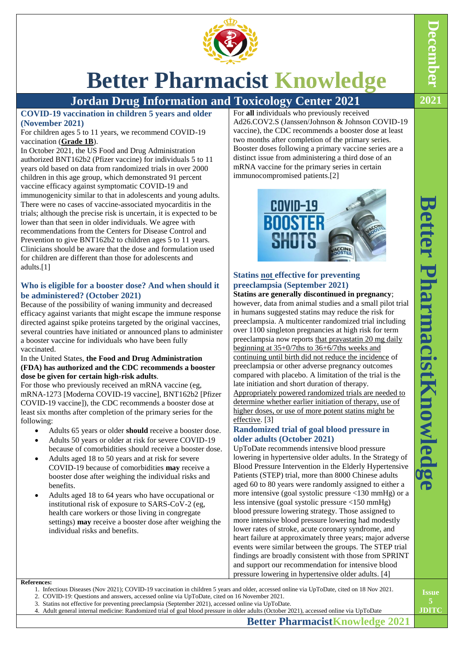

# **Better Pharmacist Knowledge**

# **Jordan Drug Information and Toxicology Center 2021 2021**

**COVID-19 vaccination in children 5 years and older (November 2021)**

## For children ages 5 to 11 years, we recommend COVID-19 vaccination (**[Grade 1B](https://www.uptodate.com/contents/grade/2?title=Grade%201B&topicKey=PCU/16722)**).

In October 2021, the US Food and Drug Administration authorized BNT162b2 (Pfizer vaccine) for individuals 5 to 11 years old based on data from randomized trials in over 2000 children in this age group, which demonstrated 91 percent vaccine efficacy against symptomatic COVID-19 and immunogenicity similar to that in adolescents and young adults. There were no cases of vaccine-associated myocarditis in the trials; although the precise risk is uncertain, it is expected to be lower than that seen in older individuals. We agree with recommendations from the Centers for Disease Control and Prevention to give BNT162b2 to children ages 5 to 11 years. Clinicians should be aware that the dose and formulation used for children are different than those for adolescents and adults.[1]

# **Who is eligible for a booster dose? And when should it be administered? (October 2021)**

Because of the possibility of waning immunity and decreased efficacy against variants that might escape the immune response directed against spike proteins targeted by the original vaccines, several countries have initiated or announced plans to administer a booster vaccine for individuals who have been fully vaccinated.

## In the United States, **the Food and Drug Administration (FDA) has authorized and the CDC recommends a booster dose be given for certain high-risk adults**.

For those who previously received an mRNA vaccine (eg, mRNA-1273 [Moderna COVID-19 vaccine], BNT162b2 [Pfizer COVID-19 vaccine]), the CDC recommends a booster dose at least six months after completion of the primary series for the following:

- Adults 65 years or older **should** receive a booster dose.
- Adults 50 years or older at risk for severe COVID-19 because of comorbidities should receive a booster dose.
- Adults aged 18 to 50 years and at risk for severe COVID-19 because of comorbidities **may** receive a booster dose after weighing the individual risks and benefits.
- Adults aged 18 to 64 years who have occupational or institutional risk of exposure to SARS-CoV-2 (eg, health care workers or those living in congregate settings) **may** receive a booster dose after weighing the individual risks and benefits.

#### For **all** individuals who previously received Ad26.COV2.S (Janssen/Johnson & Johnson COVID-19 vaccine), the CDC recommends a booster dose at least two months after completion of the primary series. Booster doses following a primary vaccine series are a distinct issue from administering a third dose of an mRNA vaccine for the primary series in certain immunocompromised patients.[2]



# **Statins not effective for preventing preeclampsia (September 2021)**

**Statins are generally discontinued in pregnancy**; however, data from animal studies and a small pilot trial in humans suggested statins may reduce the risk for preeclampsia. A multicenter randomized trial including over 1100 singleton pregnancies at high risk for term preeclampsia now reports that [pravastatin](https://www.uptodate.com/contents/pravastatin-drug-information?topicRef=8350&source=see_link) 20 mg daily beginning at 35+0/7ths to 36+6/7ths weeks and continuing until birth did not reduce the incidence of preeclampsia or other adverse pregnancy outcomes compared with placebo. A limitation of the trial is the late initiation and short duration of therapy. Appropriately powered randomized trials are needed to determine whether earlier initiation of therapy, use of higher doses, or use of more potent statins might be effective. [3]

# **Randomized trial of goal blood pressure in older adults (October 2021)**

UpToDate recommends intensive blood pressure lowering in hypertensive older adults. In the Strategy of Blood Pressure Intervention in the Elderly Hypertensive Patients (STEP) trial, more than 8000 Chinese adults aged 60 to 80 years were randomly assigned to either a more intensive (goal systolic pressure <130 mmHg) or a less intensive (goal systolic pressure <150 mmHg) blood pressure lowering strategy. Those assigned to more intensive blood pressure lowering had modestly lower rates of stroke, acute coronary syndrome, and heart failure at approximately three years; major adverse events were similar between the groups. The STEP trial findings are broadly consistent with those from SPRINT and support our recommendation for intensive blood pressure lowering in hypertensive older adults. [4]

#### **References:**

- 1. Infectious Diseases (Nov 2021); COVID-19 vaccination in children 5 years and older, accessed online via UpToDate, cited on 18 Nov 2021.
- 2. COVID-19: Questions and answers, accessed online via UpToDate, cited on 16 November 2021.
- 3. Statins not effective for preventing preeclampsia (September 2021), accessed online via UpToDate. 4. Adult general internal medicine: Randomized trial of goal blood pressure in older adults (October 2021), accessed online via UpToDate

**Better PharmacistKnowledge 2021**

**December**